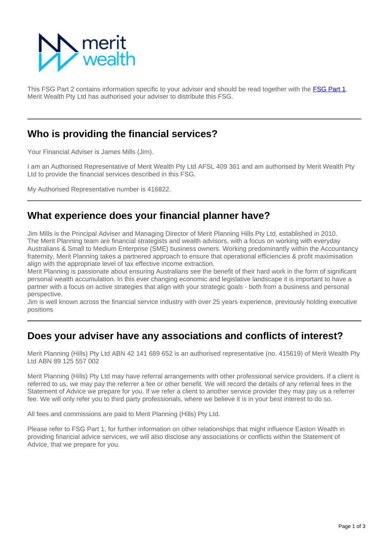

This FSG Part 2 contains information specific to your adviser and should be read together with the **[FSG Part 1](https://info.eastonwealth.com.au/FinancialServicesGuide)**. Merit Wealth Pty Ltd has authorised your adviser to distribute this FSG.

### **Who is providing the financial services?**

Your Financial Adviser is James Mills (Jim).

I am an Authorised Representative of Merit Wealth Pty Ltd AFSL 409 361 and am authorised by Merit Wealth Pty Ltd to provide the financial services described in this FSG.

My Authorised Representative number is 416822.

## **What experience does your financial planner have?**

Jim Mills is the Principal Adviser and Managing Director of Merit Planning Hills Pty Ltd, established in 2010. The Merit Planning team are financial strategists and wealth advisors, with a focus on working with everyday Australians & Small to Medium Enterprise (SME) business owners. Working predominantly within the Accountancy fraternity, Merit Planning takes a partnered approach to ensure that operational efficiencies & profit maximisation align with the appropriate level of tax effective income extraction.

Merit Planning is passionate about ensuring Australians see the benefit of their hard work in the form of significant personal wealth accumulation. In this ever changing economic and legislative landscape it is important to have a partner with a focus on active strategies that align with your strategic goals - both from a business and personal perspective.

Jim is well known across the financial service industry with over 25 years experience, previously holding executive positions

## **Does your adviser have any associations and conflicts of interest?**

Merit Planning (Hills) Pty Ltd ABN 42 141 689 652 is an authorised representative (no. 415619) of Merit Wealth Pty Ltd ABN 89 125 557 002

Merit Planning (Hills) Pty Ltd may have referral arrangements with other professional service providers. If a client is referred to us, we may pay the referrer a fee or other benefit. We will record the details of any referral fees in the Statement of Advice we prepare for you. If we refer a client to another service provider they may pay us a referrer fee. We will only refer you to third party professionals, where we believe it is in your best interest to do so.

All fees and commissions are paid to Merit Planning (Hills) Pty Ltd.

Please refer to FSG Part 1, for further information on other relationships that might influence Easton Wealth in providing financial advice services, we will also disclose any associations or conflicts within the Statement of Advice, that we prepare for you.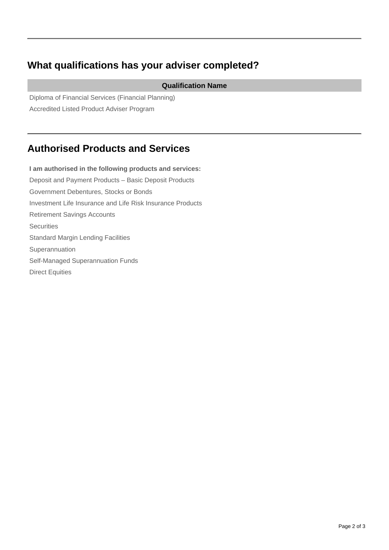# **What qualifications has your adviser completed?**

#### **Qualification Name**

Diploma of Financial Services (Financial Planning) Accredited Listed Product Adviser Program

## **Authorised Products and Services**

**I am authorised in the following products and services:** Deposit and Payment Products – Basic Deposit Products Government Debentures, Stocks or Bonds Investment Life Insurance and Life Risk Insurance Products Retirement Savings Accounts **Securities** Standard Margin Lending Facilities Superannuation Self-Managed Superannuation Funds Direct Equities